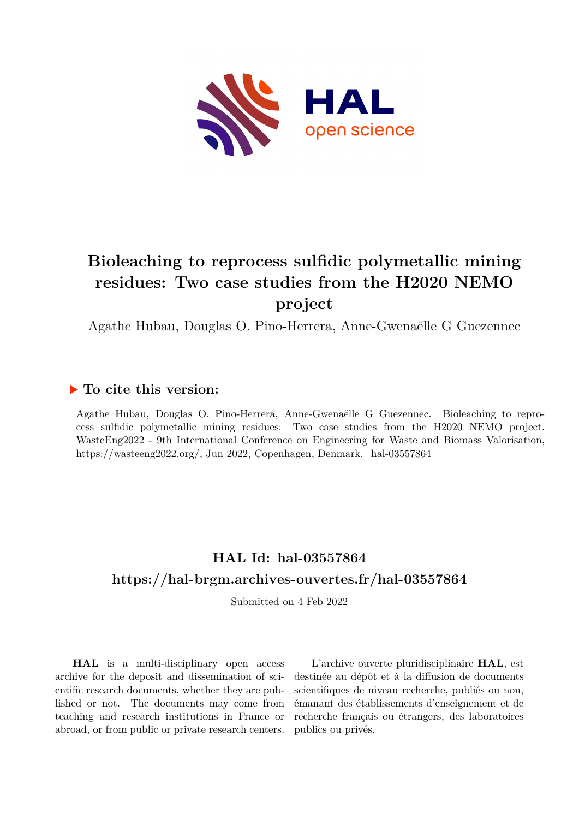

# **Bioleaching to reprocess sulfidic polymetallic mining residues: Two case studies from the H2020 NEMO project**

Agathe Hubau, Douglas O. Pino-Herrera, Anne-Gwenaëlle G Guezennec

## **To cite this version:**

Agathe Hubau, Douglas O. Pino-Herrera, Anne-Gwenaëlle G Guezennec. Bioleaching to reprocess sulfidic polymetallic mining residues: Two case studies from the H2020 NEMO project. WasteEng2022 - 9th International Conference on Engineering for Waste and Biomass Valorisation, https://wasteeng2022.org/, Jun 2022, Copenhagen, Denmark. hal-03557864

# **HAL Id: hal-03557864 <https://hal-brgm.archives-ouvertes.fr/hal-03557864>**

Submitted on 4 Feb 2022

**HAL** is a multi-disciplinary open access archive for the deposit and dissemination of scientific research documents, whether they are published or not. The documents may come from teaching and research institutions in France or abroad, or from public or private research centers.

L'archive ouverte pluridisciplinaire **HAL**, est destinée au dépôt et à la diffusion de documents scientifiques de niveau recherche, publiés ou non, émanant des établissements d'enseignement et de recherche français ou étrangers, des laboratoires publics ou privés.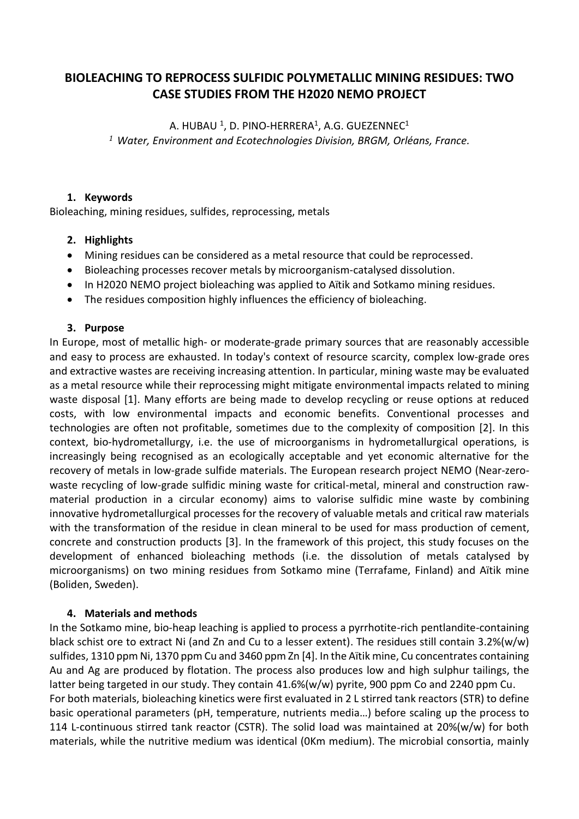## **BIOLEACHING TO REPROCESS SULFIDIC POLYMETALLIC MINING RESIDUES: TWO CASE STUDIES FROM THE H2020 NEMO PROJECT**

A. HUBAU  $^1$ , D. PINO-HERRERA $^1$ , A.G. GUEZENNEC $^1$ *<sup>1</sup> Water, Environment and Ecotechnologies Division, BRGM, Orléans, France.*

#### **1. Keywords**

Bioleaching, mining residues, sulfides, reprocessing, metals

#### **2. Highlights**

- Mining residues can be considered as a metal resource that could be reprocessed.
- Bioleaching processes recover metals by microorganism-catalysed dissolution.
- In H2020 NEMO project bioleaching was applied to Aïtik and Sotkamo mining residues.
- The residues composition highly influences the efficiency of bioleaching.

#### **3. Purpose**

In Europe, most of metallic high- or moderate-grade primary sources that are reasonably accessible and easy to process are exhausted. In today's context of resource scarcity, complex low-grade ores and extractive wastes are receiving increasing attention. In particular, mining waste may be evaluated as a metal resource while their reprocessing might mitigate environmental impacts related to mining waste disposal [1]. Many efforts are being made to develop recycling or reuse options at reduced costs, with low environmental impacts and economic benefits. Conventional processes and technologies are often not profitable, sometimes due to the complexity of composition [2]. In this context, bio-hydrometallurgy, i.e. the use of microorganisms in hydrometallurgical operations, is increasingly being recognised as an ecologically acceptable and yet economic alternative for the recovery of metals in low-grade sulfide materials. The European research project NEMO (Near-zerowaste recycling of low-grade sulfidic mining waste for critical-metal, mineral and construction rawmaterial production in a circular economy) aims to valorise sulfidic mine waste by combining innovative hydrometallurgical processes for the recovery of valuable metals and critical raw materials with the transformation of the residue in clean mineral to be used for mass production of cement, concrete and construction products [3]. In the framework of this project, this study focuses on the development of enhanced bioleaching methods (i.e. the dissolution of metals catalysed by microorganisms) on two mining residues from Sotkamo mine (Terrafame, Finland) and Aïtik mine (Boliden, Sweden).

#### **4. Materials and methods**

In the Sotkamo mine, bio-heap leaching is applied to process a pyrrhotite-rich pentlandite-containing black schist ore to extract Ni (and Zn and Cu to a lesser extent). The residues still contain 3.2%(w/w) sulfides, 1310 ppm Ni, 1370 ppm Cu and 3460 ppm Zn [4]. In the Aïtik mine, Cu concentrates containing Au and Ag are produced by flotation. The process also produces low and high sulphur tailings, the latter being targeted in our study. They contain 41.6%(w/w) pyrite, 900 ppm Co and 2240 ppm Cu. For both materials, bioleaching kinetics were first evaluated in 2 L stirred tank reactors (STR) to define basic operational parameters (pH, temperature, nutrients media…) before scaling up the process to 114 L-continuous stirred tank reactor (CSTR). The solid load was maintained at 20%(w/w) for both materials, while the nutritive medium was identical (0Km medium). The microbial consortia, mainly